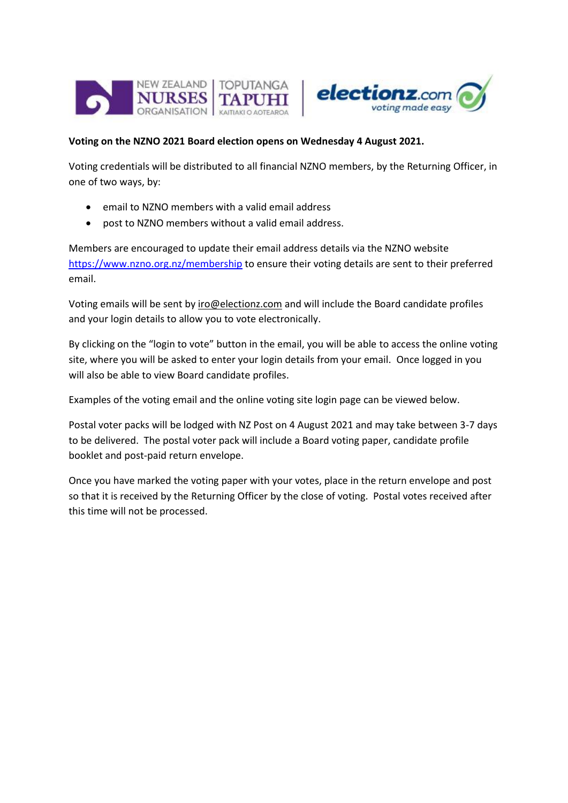



## **Voting on the NZNO 2021 Board election opens on Wednesday 4 August 2021.**

Voting credentials will be distributed to all financial NZNO members, by the Returning Officer, in one of two ways, by:

- email to NZNO members with a valid email address
- post to NZNO members without a valid email address.

Members are encouraged to update their email address details via the NZNO website <https://www.nzno.org.nz/membership> to ensure their voting details are sent to their preferred email.

Voting emails will be sent by iro@electionz.com and will include the Board candidate profiles and your login details to allow you to vote electronically.

By clicking on the "login to vote" button in the email, you will be able to access the online voting site, where you will be asked to enter your login details from your email. Once logged in you will also be able to view Board candidate profiles.

Examples of the voting email and the online voting site login page can be viewed below.

Postal voter packs will be lodged with NZ Post on 4 August 2021 and may take between 3-7 days to be delivered. The postal voter pack will include a Board voting paper, candidate profile booklet and post-paid return envelope.

Once you have marked the voting paper with your votes, place in the return envelope and post so that it is received by the Returning Officer by the close of voting. Postal votes received after this time will not be processed.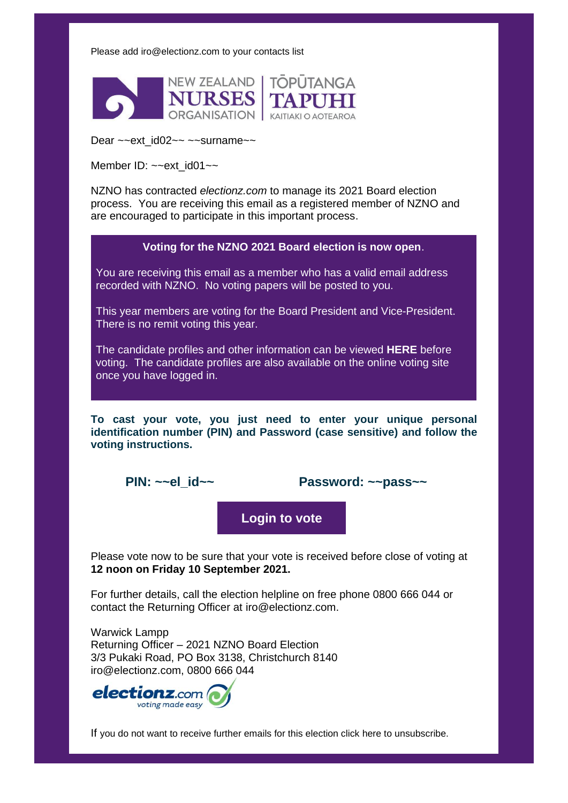Please add [iro@electionz.com](mailto:iro@electionz.com) to your contacts list



Dear ~~ext\_id02~~ ~~surname~~

Member ID:  $\sim$ -ext id01 $\sim$ 

NZNO has contracted *electionz.com* to manage its 2021 Board election process. You are receiving this email as a registered member of NZNO and are encouraged to participate in this important process.

**Voting for the NZNO 2021 Board election is now open**.

You are receiving this email as a member who has a valid email address recorded with NZNO. No voting papers will be posted to you.

This year members are voting for the Board President and Vice-President. There is no remit voting this year.

The candidate profiles and other information can be viewed **HERE** before voting. The candidate profiles are also available on the online voting site once you have logged in.

**To cast your vote, you just need to enter your unique personal identification number (PIN) and Password (case sensitive) and follow the voting instructions.**

**PIN: ~~el\_id~~ Password: ~~pass~~**

**Login to vote**

Please vote now to be sure that your vote is received before close of voting at **12 noon on Friday 10 September 2021.**

For further details, call the election helpline on free phone 0800 666 044 or contact the Returning Officer at [iro@electionz.com.](mailto:iro@electionz.com)

Warwick Lampp Returning Officer – 2021 NZNO Board Election 3/3 Pukaki Road, PO Box 3138, Christchurch 8140 iro@electionz.com, 0800 666 044



If you do not want to receive further emails for this election click [here](http://www.electionz.com/unsubscribe.asp?from=~~link_email~~&election=~~link_coy_name~~&GUID=~~link_guid~~&elnid=~~election_id~~) to unsubscribe.